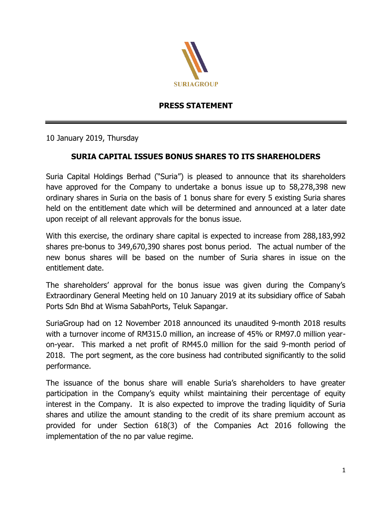

## **PRESS STATEMENT**

10 January 2019, Thursday

## **SURIA CAPITAL ISSUES BONUS SHARES TO ITS SHAREHOLDERS**

Suria Capital Holdings Berhad ("Suria") is pleased to announce that its shareholders have approved for the Company to undertake a bonus issue up to 58,278,398 new ordinary shares in Suria on the basis of 1 bonus share for every 5 existing Suria shares held on the entitlement date which will be determined and announced at a later date upon receipt of all relevant approvals for the bonus issue.

With this exercise, the ordinary share capital is expected to increase from 288,183,992 shares pre-bonus to 349,670,390 shares post bonus period. The actual number of the new bonus shares will be based on the number of Suria shares in issue on the entitlement date.

The shareholders' approval for the bonus issue was given during the Company's Extraordinary General Meeting held on 10 January 2019 at its subsidiary office of Sabah Ports Sdn Bhd at Wisma SabahPorts, Teluk Sapangar.

SuriaGroup had on 12 November 2018 announced its unaudited 9-month 2018 results with a turnover income of RM315.0 million, an increase of 45% or RM97.0 million yearon-year. This marked a net profit of RM45.0 million for the said 9-month period of 2018. The port segment, as the core business had contributed significantly to the solid performance.

The issuance of the bonus share will enable Suria's shareholders to have greater participation in the Company's equity whilst maintaining their percentage of equity interest in the Company. It is also expected to improve the trading liquidity of Suria shares and utilize the amount standing to the credit of its share premium account as provided for under Section 618(3) of the Companies Act 2016 following the implementation of the no par value regime.